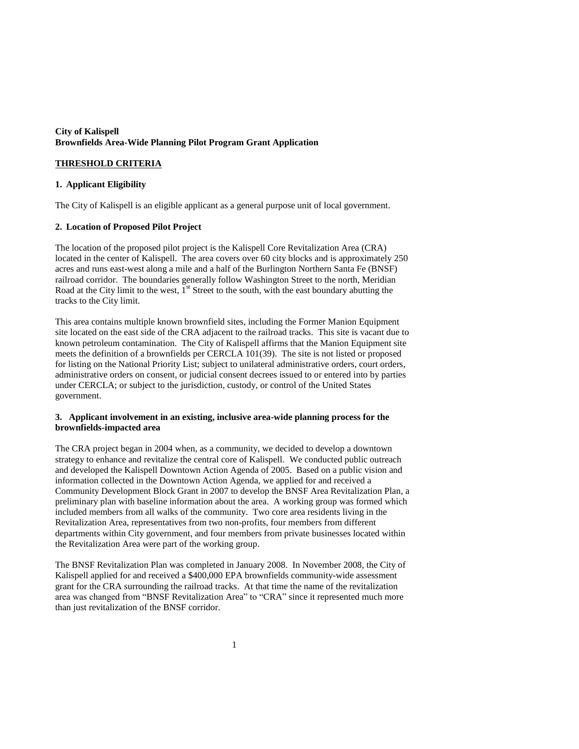## **City of Kalispell Brownfields Area-Wide Planning Pilot Program Grant Application**

# **THRESHOLD CRITERIA**

## **1. Applicant Eligibility**

The City of Kalispell is an eligible applicant as a general purpose unit of local government.

# **2. Location of Proposed Pilot Project**

The location of the proposed pilot project is the Kalispell Core Revitalization Area (CRA) located in the center of Kalispell. The area covers over 60 city blocks and is approximately 250 acres and runs east-west along a mile and a half of the Burlington Northern Santa Fe (BNSF) railroad corridor. The boundaries generally follow Washington Street to the north, Meridian Road at the City limit to the west,  $I<sup>st</sup>$  Street to the south, with the east boundary abutting the tracks to the City limit.

This area contains multiple known brownfield sites, including the Former Manion Equipment site located on the east side of the CRA adjacent to the railroad tracks. This site is vacant due to known petroleum contamination. The City of Kalispell affirms that the Manion Equipment site meets the definition of a brownfields per CERCLA 101(39). The site is not listed or proposed for listing on the National Priority List; subject to unilateral administrative orders, court orders, administrative orders on consent, or judicial consent decrees issued to or entered into by parties under CERCLA; or subject to the jurisdiction, custody, or control of the United States government.

## **3. Applicant involvement in an existing, inclusive area-wide planning process for the brownfields-impacted area**

The CRA project began in 2004 when, as a community, we decided to develop a downtown strategy to enhance and revitalize the central core of Kalispell. We conducted public outreach and developed the Kalispell Downtown Action Agenda of 2005. Based on a public vision and information collected in the Downtown Action Agenda, we applied for and received a Community Development Block Grant in 2007 to develop the BNSF Area Revitalization Plan, a preliminary plan with baseline information about the area. A working group was formed which included members from all walks of the community. Two core area residents living in the Revitalization Area, representatives from two non-profits, four members from different departments within City government, and four members from private businesses located within the Revitalization Area were part of the working group.

The BNSF Revitalization Plan was completed in January 2008. In November 2008, the City of Kalispell applied for and received a \$400,000 EPA brownfields community-wide assessment grant for the CRA surrounding the railroad tracks. At that time the name of the revitalization area was changed from "BNSF Revitalization Area" to "CRA" since it represented much more than just revitalization of the BNSF corridor.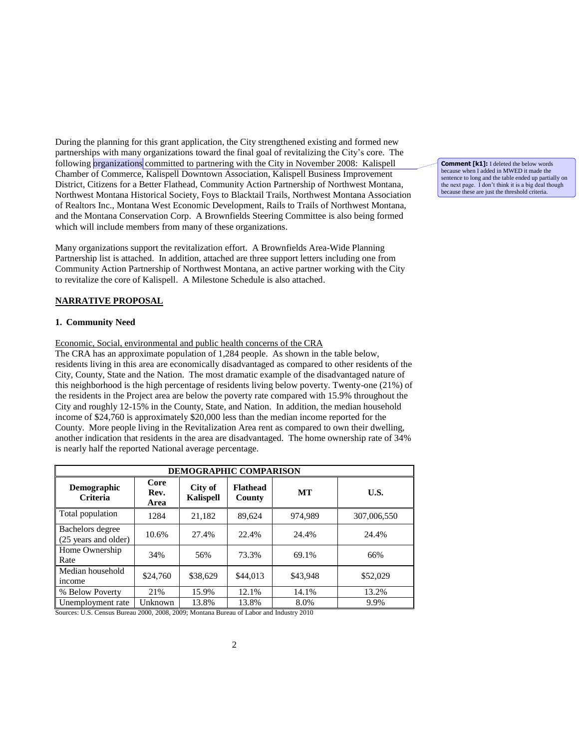During the planning for this grant application, the City strengthened existing and formed new partnerships with many organizations toward the final goal of revitalizing the City's core. The following organizations committed to partnering with the City in November 2008: Kalispell Chamber of Commerce, Kalispell Downtown Association, Kalispell Business Improvement District, Citizens for a Better Flathead, Community Action Partnership of Northwest Montana, Northwest Montana Historical Society, Foys to Blacktail Trails, Northwest Montana Association of Realtors Inc., Montana West Economic Development, Rails to Trails of Northwest Montana, and the Montana Conservation Corp. A Brownfields Steering Committee is also being formed which will include members from many of these organizations.

Many organizations support the revitalization effort. A Brownfields Area-Wide Planning Partnership list is attached. In addition, attached are three support letters including one from Community Action Partnership of Northwest Montana, an active partner working with the City to revitalize the core of Kalispell. A Milestone Schedule is also attached.

# **NARRATIVE PROPOSAL**

### **1. Community Need**

Economic, Social, environmental and public health concerns of the CRA

The CRA has an approximate population of 1,284 people. As shown in the table below, residents living in this area are economically disadvantaged as compared to other residents of the City, County, State and the Nation. The most dramatic example of the disadvantaged nature of this neighborhood is the high percentage of residents living below poverty. Twenty-one (21%) of the residents in the Project area are below the poverty rate compared with 15.9% throughout the City and roughly 12-15% in the County, State, and Nation. In addition, the median household income of \$24,760 is approximately \$20,000 less than the median income reported for the County. More people living in the Revitalization Area rent as compared to own their dwelling, another indication that residents in the area are disadvantaged. The home ownership rate of 34% is nearly half the reported National average percentage.

| <b>DEMOGRAPHIC COMPARISON</b>            |                      |                             |                           |          |             |  |  |
|------------------------------------------|----------------------|-----------------------------|---------------------------|----------|-------------|--|--|
| <b>Demographic</b><br><b>Criteria</b>    | Core<br>Rev.<br>Area | City of<br><b>Kalispell</b> | <b>Flathead</b><br>County | MT       | U.S.        |  |  |
| Total population                         | 1284                 | 21.182                      | 89,624                    | 974,989  | 307,006,550 |  |  |
| Bachelors degree<br>(25 years and older) | 10.6%                | 27.4%                       | 22.4%                     | 24.4%    | 24.4%       |  |  |
| Home Ownership<br>Rate                   | 34%                  | 56%                         | 73.3%                     | 69.1%    | 66%         |  |  |
| Median household<br>income               | \$24,760             | \$38,629                    | \$44,013                  | \$43,948 | \$52,029    |  |  |
| % Below Poverty                          | 21%                  | 15.9%                       | 12.1%                     | 14.1%    | 13.2%       |  |  |
| Unemployment rate                        | Unknown              | 13.8%                       | 13.8%                     | 8.0%     | 9.9%        |  |  |

Sources: U.S. Census Bureau 2000, 2008, 2009; Montana Bureau of Labor and Industry 2010

**Comment [k1]:** I deleted the below words because when I added in MWED it made the sentence to long and the table ended up partially on the next page. I don't think it is a big deal though because these are just the threshold criteria.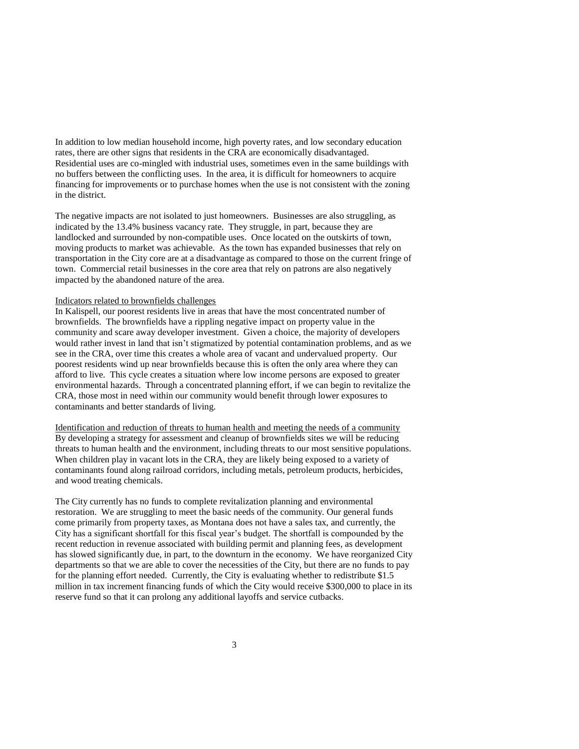In addition to low median household income, high poverty rates, and low secondary education rates, there are other signs that residents in the CRA are economically disadvantaged. Residential uses are co-mingled with industrial uses, sometimes even in the same buildings with no buffers between the conflicting uses. In the area, it is difficult for homeowners to acquire financing for improvements or to purchase homes when the use is not consistent with the zoning in the district.

The negative impacts are not isolated to just homeowners. Businesses are also struggling, as indicated by the 13.4% business vacancy rate. They struggle, in part, because they are landlocked and surrounded by non-compatible uses. Once located on the outskirts of town, moving products to market was achievable. As the town has expanded businesses that rely on transportation in the City core are at a disadvantage as compared to those on the current fringe of town. Commercial retail businesses in the core area that rely on patrons are also negatively impacted by the abandoned nature of the area.

#### Indicators related to brownfields challenges

In Kalispell, our poorest residents live in areas that have the most concentrated number of brownfields. The brownfields have a rippling negative impact on property value in the community and scare away developer investment. Given a choice, the majority of developers would rather invest in land that isn't stigmatized by potential contamination problems, and as we see in the CRA, over time this creates a whole area of vacant and undervalued property. Our poorest residents wind up near brownfields because this is often the only area where they can afford to live. This cycle creates a situation where low income persons are exposed to greater environmental hazards. Through a concentrated planning effort, if we can begin to revitalize the CRA, those most in need within our community would benefit through lower exposures to contaminants and better standards of living.

Identification and reduction of threats to human health and meeting the needs of a community By developing a strategy for assessment and cleanup of brownfields sites we will be reducing threats to human health and the environment, including threats to our most sensitive populations. When children play in vacant lots in the CRA, they are likely being exposed to a variety of contaminants found along railroad corridors, including metals, petroleum products, herbicides, and wood treating chemicals.

The City currently has no funds to complete revitalization planning and environmental restoration. We are struggling to meet the basic needs of the community. Our general funds come primarily from property taxes, as Montana does not have a sales tax, and currently, the City has a significant shortfall for this fiscal year's budget. The shortfall is compounded by the recent reduction in revenue associated with building permit and planning fees, as development has slowed significantly due, in part, to the downturn in the economy. We have reorganized City departments so that we are able to cover the necessities of the City, but there are no funds to pay for the planning effort needed. Currently, the City is evaluating whether to redistribute \$1.5 million in tax increment financing funds of which the City would receive \$300,000 to place in its reserve fund so that it can prolong any additional layoffs and service cutbacks.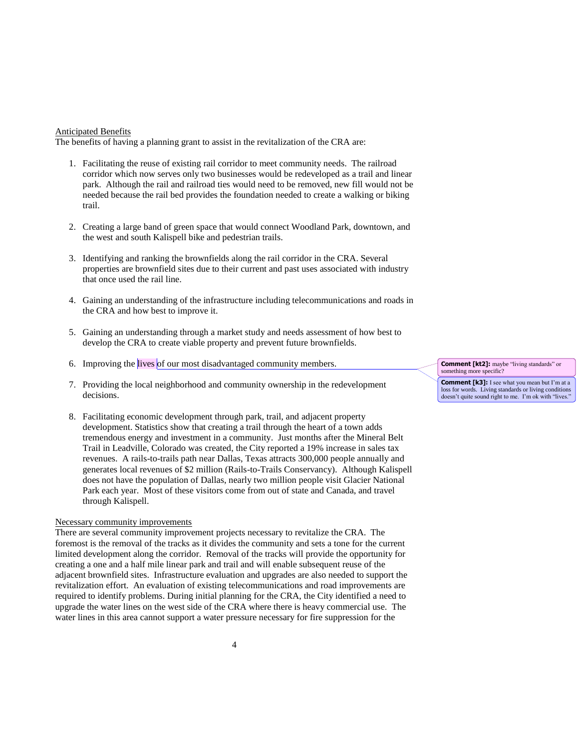### Anticipated Benefits

The benefits of having a planning grant to assist in the revitalization of the CRA are:

- 1. Facilitating the reuse of existing rail corridor to meet community needs. The railroad corridor which now serves only two businesses would be redeveloped as a trail and linear park. Although the rail and railroad ties would need to be removed, new fill would not be needed because the rail bed provides the foundation needed to create a walking or biking trail.
- 2. Creating a large band of green space that would connect Woodland Park, downtown, and the west and south Kalispell bike and pedestrian trails.
- 3. Identifying and ranking the brownfields along the rail corridor in the CRA. Several properties are brownfield sites due to their current and past uses associated with industry that once used the rail line.
- 4. Gaining an understanding of the infrastructure including telecommunications and roads in the CRA and how best to improve it.
- 5. Gaining an understanding through a market study and needs assessment of how best to develop the CRA to create viable property and prevent future brownfields.
- 6. Improving the lives of our most disadvantaged community members.
- 7. Providing the local neighborhood and community ownership in the redevelopment decisions.
- 8. Facilitating economic development through park, trail, and adjacent property development. Statistics show that creating a trail through the heart of a town adds tremendous energy and investment in a community. Just months after the Mineral Belt Trail in Leadville, Colorado was created, the City reported a 19% increase in sales tax revenues. A rails-to-trails path near Dallas, Texas attracts 300,000 people annually and generates local revenues of \$2 million (Rails-to-Trails Conservancy). Although Kalispell does not have the population of Dallas, nearly two million people visit Glacier National Park each year. Most of these visitors come from out of state and Canada, and travel through Kalispell.

### Necessary community improvements

There are several community improvement projects necessary to revitalize the CRA. The foremost is the removal of the tracks as it divides the community and sets a tone for the current limited development along the corridor. Removal of the tracks will provide the opportunity for creating a one and a half mile linear park and trail and will enable subsequent reuse of the adjacent brownfield sites. Infrastructure evaluation and upgrades are also needed to support the revitalization effort. An evaluation of existing telecommunications and road improvements are required to identify problems. During initial planning for the CRA, the City identified a need to upgrade the water lines on the west side of the CRA where there is heavy commercial use. The water lines in this area cannot support a water pressure necessary for fire suppression for the

**Comment [kt2]:** maybe "living standards" or something more specific?

**Comment [k3]:** I see what you mean but I'm at a loss for words. Living standards or living conditions doesn't quite sound right to me. I'm ok with "lives."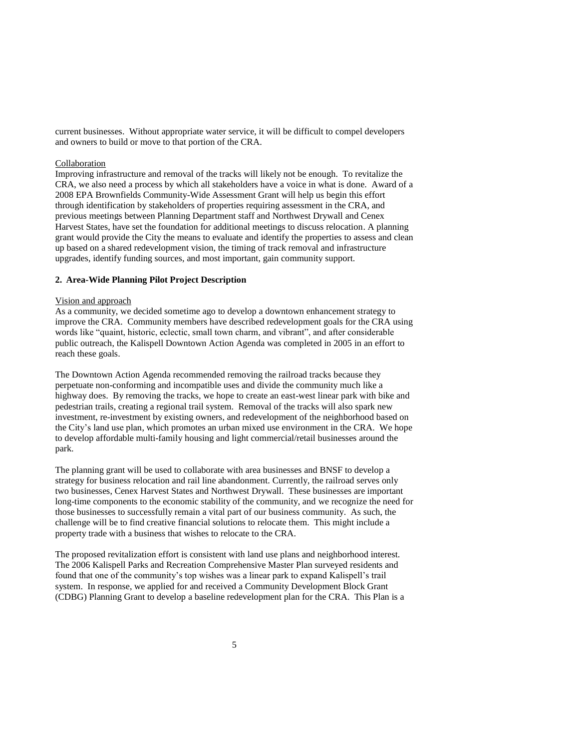current businesses. Without appropriate water service, it will be difficult to compel developers and owners to build or move to that portion of the CRA.

### Collaboration

Improving infrastructure and removal of the tracks will likely not be enough. To revitalize the CRA, we also need a process by which all stakeholders have a voice in what is done. Award of a 2008 EPA Brownfields Community-Wide Assessment Grant will help us begin this effort through identification by stakeholders of properties requiring assessment in the CRA, and previous meetings between Planning Department staff and Northwest Drywall and Cenex Harvest States, have set the foundation for additional meetings to discuss relocation. A planning grant would provide the City the means to evaluate and identify the properties to assess and clean up based on a shared redevelopment vision, the timing of track removal and infrastructure upgrades, identify funding sources, and most important, gain community support.

## **2. Area-Wide Planning Pilot Project Description**

### Vision and approach

As a community, we decided sometime ago to develop a downtown enhancement strategy to improve the CRA. Community members have described redevelopment goals for the CRA using words like "quaint, historic, eclectic, small town charm, and vibrant", and after considerable public outreach, the Kalispell Downtown Action Agenda was completed in 2005 in an effort to reach these goals.

The Downtown Action Agenda recommended removing the railroad tracks because they perpetuate non-conforming and incompatible uses and divide the community much like a highway does. By removing the tracks, we hope to create an east-west linear park with bike and pedestrian trails, creating a regional trail system. Removal of the tracks will also spark new investment, re-investment by existing owners, and redevelopment of the neighborhood based on the City's land use plan, which promotes an urban mixed use environment in the CRA. We hope to develop affordable multi-family housing and light commercial/retail businesses around the park.

The planning grant will be used to collaborate with area businesses and BNSF to develop a strategy for business relocation and rail line abandonment. Currently, the railroad serves only two businesses, Cenex Harvest States and Northwest Drywall. These businesses are important long-time components to the economic stability of the community, and we recognize the need for those businesses to successfully remain a vital part of our business community. As such, the challenge will be to find creative financial solutions to relocate them. This might include a property trade with a business that wishes to relocate to the CRA.

The proposed revitalization effort is consistent with land use plans and neighborhood interest. The 2006 Kalispell Parks and Recreation Comprehensive Master Plan surveyed residents and found that one of the community's top wishes was a linear park to expand Kalispell's trail system. In response, we applied for and received a Community Development Block Grant (CDBG) Planning Grant to develop a baseline redevelopment plan for the CRA. This Plan is a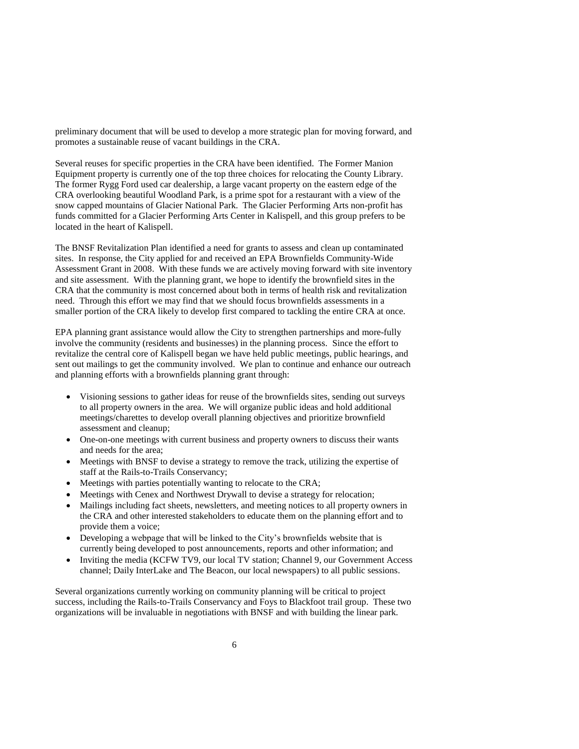preliminary document that will be used to develop a more strategic plan for moving forward, and promotes a sustainable reuse of vacant buildings in the CRA.

Several reuses for specific properties in the CRA have been identified. The Former Manion Equipment property is currently one of the top three choices for relocating the County Library. The former Rygg Ford used car dealership, a large vacant property on the eastern edge of the CRA overlooking beautiful Woodland Park, is a prime spot for a restaurant with a view of the snow capped mountains of Glacier National Park. The Glacier Performing Arts non-profit has funds committed for a Glacier Performing Arts Center in Kalispell, and this group prefers to be located in the heart of Kalispell.

The BNSF Revitalization Plan identified a need for grants to assess and clean up contaminated sites. In response, the City applied for and received an EPA Brownfields Community-Wide Assessment Grant in 2008. With these funds we are actively moving forward with site inventory and site assessment. With the planning grant, we hope to identify the brownfield sites in the CRA that the community is most concerned about both in terms of health risk and revitalization need. Through this effort we may find that we should focus brownfields assessments in a smaller portion of the CRA likely to develop first compared to tackling the entire CRA at once.

EPA planning grant assistance would allow the City to strengthen partnerships and more-fully involve the community (residents and businesses) in the planning process. Since the effort to revitalize the central core of Kalispell began we have held public meetings, public hearings, and sent out mailings to get the community involved. We plan to continue and enhance our outreach and planning efforts with a brownfields planning grant through:

- Visioning sessions to gather ideas for reuse of the brownfields sites, sending out surveys to all property owners in the area. We will organize public ideas and hold additional meetings/charettes to develop overall planning objectives and prioritize brownfield assessment and cleanup;
- One-on-one meetings with current business and property owners to discuss their wants and needs for the area;
- Meetings with BNSF to devise a strategy to remove the track, utilizing the expertise of staff at the Rails-to-Trails Conservancy;
- Meetings with parties potentially wanting to relocate to the CRA;
- Meetings with Cenex and Northwest Drywall to devise a strategy for relocation;
- Mailings including fact sheets, newsletters, and meeting notices to all property owners in the CRA and other interested stakeholders to educate them on the planning effort and to provide them a voice;
- Developing a webpage that will be linked to the City's brownfields website that is currently being developed to post announcements, reports and other information; and
- Inviting the media (KCFW TV9, our local TV station; Channel 9, our Government Access channel; Daily InterLake and The Beacon, our local newspapers) to all public sessions.

Several organizations currently working on community planning will be critical to project success, including the Rails-to-Trails Conservancy and Foys to Blackfoot trail group. These two organizations will be invaluable in negotiations with BNSF and with building the linear park.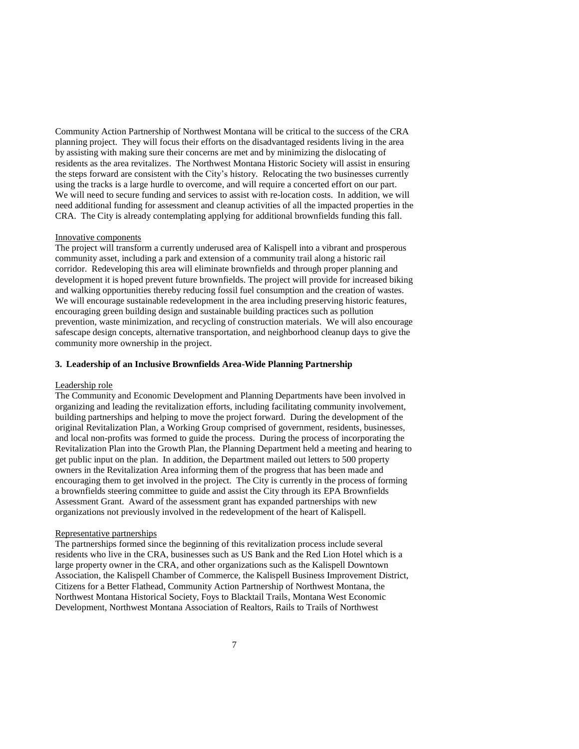Community Action Partnership of Northwest Montana will be critical to the success of the CRA planning project. They will focus their efforts on the disadvantaged residents living in the area by assisting with making sure their concerns are met and by minimizing the dislocating of residents as the area revitalizes. The Northwest Montana Historic Society will assist in ensuring the steps forward are consistent with the City's history. Relocating the two businesses currently using the tracks is a large hurdle to overcome, and will require a concerted effort on our part. We will need to secure funding and services to assist with re-location costs. In addition, we will need additional funding for assessment and cleanup activities of all the impacted properties in the CRA. The City is already contemplating applying for additional brownfields funding this fall.

#### Innovative components

The project will transform a currently underused area of Kalispell into a vibrant and prosperous community asset, including a park and extension of a community trail along a historic rail corridor. Redeveloping this area will eliminate brownfields and through proper planning and development it is hoped prevent future brownfields. The project will provide for increased biking and walking opportunities thereby reducing fossil fuel consumption and the creation of wastes. We will encourage sustainable redevelopment in the area including preserving historic features, encouraging green building design and sustainable building practices such as pollution prevention, waste minimization, and recycling of construction materials. We will also encourage safescape design concepts, alternative transportation, and neighborhood cleanup days to give the community more ownership in the project.

### **3. Leadership of an Inclusive Brownfields Area-Wide Planning Partnership**

#### Leadership role

The Community and Economic Development and Planning Departments have been involved in organizing and leading the revitalization efforts, including facilitating community involvement, building partnerships and helping to move the project forward. During the development of the original Revitalization Plan, a Working Group comprised of government, residents, businesses, and local non-profits was formed to guide the process. During the process of incorporating the Revitalization Plan into the Growth Plan, the Planning Department held a meeting and hearing to get public input on the plan. In addition, the Department mailed out letters to 500 property owners in the Revitalization Area informing them of the progress that has been made and encouraging them to get involved in the project. The City is currently in the process of forming a brownfields steering committee to guide and assist the City through its EPA Brownfields Assessment Grant. Award of the assessment grant has expanded partnerships with new organizations not previously involved in the redevelopment of the heart of Kalispell.

#### Representative partnerships

The partnerships formed since the beginning of this revitalization process include several residents who live in the CRA, businesses such as US Bank and the Red Lion Hotel which is a large property owner in the CRA, and other organizations such as the Kalispell Downtown Association, the Kalispell Chamber of Commerce, the Kalispell Business Improvement District, Citizens for a Better Flathead, Community Action Partnership of Northwest Montana, the Northwest Montana Historical Society, Foys to Blacktail Trails, Montana West Economic Development, Northwest Montana Association of Realtors, Rails to Trails of Northwest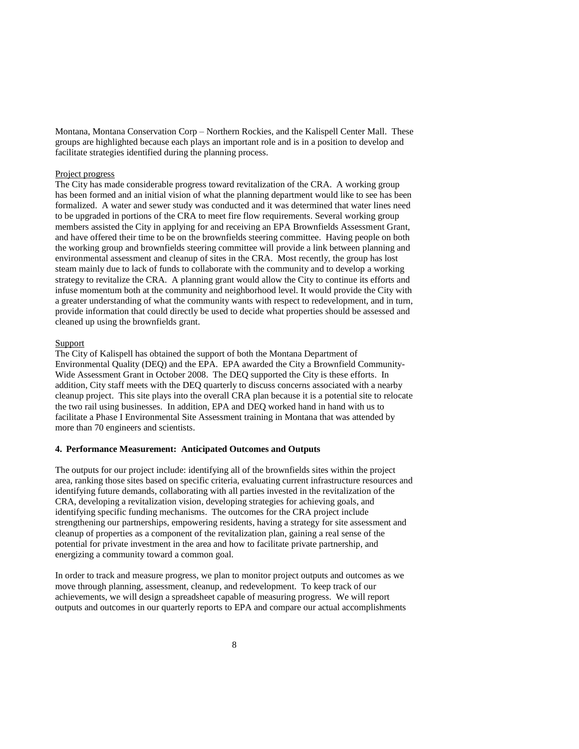Montana, Montana Conservation Corp – Northern Rockies, and the Kalispell Center Mall. These groups are highlighted because each plays an important role and is in a position to develop and facilitate strategies identified during the planning process.

### Project progress

The City has made considerable progress toward revitalization of the CRA. A working group has been formed and an initial vision of what the planning department would like to see has been formalized. A water and sewer study was conducted and it was determined that water lines need to be upgraded in portions of the CRA to meet fire flow requirements. Several working group members assisted the City in applying for and receiving an EPA Brownfields Assessment Grant, and have offered their time to be on the brownfields steering committee. Having people on both the working group and brownfields steering committee will provide a link between planning and environmental assessment and cleanup of sites in the CRA. Most recently, the group has lost steam mainly due to lack of funds to collaborate with the community and to develop a working strategy to revitalize the CRA. A planning grant would allow the City to continue its efforts and infuse momentum both at the community and neighborhood level. It would provide the City with a greater understanding of what the community wants with respect to redevelopment, and in turn, provide information that could directly be used to decide what properties should be assessed and cleaned up using the brownfields grant.

# **Support**

The City of Kalispell has obtained the support of both the Montana Department of Environmental Quality (DEQ) and the EPA. EPA awarded the City a Brownfield Community-Wide Assessment Grant in October 2008. The DEQ supported the City is these efforts. In addition, City staff meets with the DEQ quarterly to discuss concerns associated with a nearby cleanup project. This site plays into the overall CRA plan because it is a potential site to relocate the two rail using businesses. In addition, EPA and DEQ worked hand in hand with us to facilitate a Phase I Environmental Site Assessment training in Montana that was attended by more than 70 engineers and scientists.

### **4. Performance Measurement: Anticipated Outcomes and Outputs**

The outputs for our project include: identifying all of the brownfields sites within the project area, ranking those sites based on specific criteria, evaluating current infrastructure resources and identifying future demands, collaborating with all parties invested in the revitalization of the CRA, developing a revitalization vision, developing strategies for achieving goals, and identifying specific funding mechanisms. The outcomes for the CRA project include strengthening our partnerships, empowering residents, having a strategy for site assessment and cleanup of properties as a component of the revitalization plan, gaining a real sense of the potential for private investment in the area and how to facilitate private partnership, and energizing a community toward a common goal.

In order to track and measure progress, we plan to monitor project outputs and outcomes as we move through planning, assessment, cleanup, and redevelopment. To keep track of our achievements, we will design a spreadsheet capable of measuring progress. We will report outputs and outcomes in our quarterly reports to EPA and compare our actual accomplishments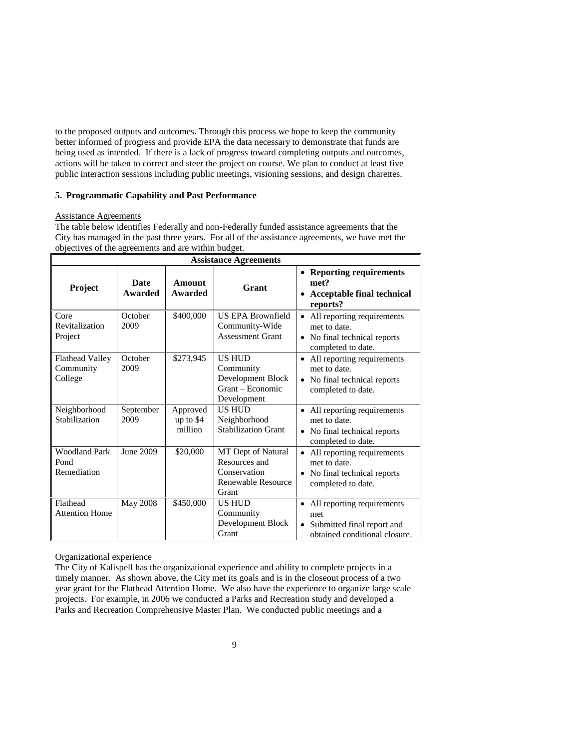to the proposed outputs and outcomes. Through this process we hope to keep the community better informed of progress and provide EPA the data necessary to demonstrate that funds are being used as intended. If there is a lack of progress toward completing outputs and outcomes, actions will be taken to correct and steer the project on course. We plan to conduct at least five public interaction sessions including public meetings, visioning sessions, and design charettes.

### **5. Programmatic Capability and Past Performance**

### Assistance Agreements

The table below identifies Federally and non-Federally funded assistance agreements that the City has managed in the past three years. For all of the assistance agreements, we have met the objectives of the agreements and are within budget.

| <b>Assistance Agreements</b>                |                               |                                  |                                                                                           |                                                                                                               |  |  |
|---------------------------------------------|-------------------------------|----------------------------------|-------------------------------------------------------------------------------------------|---------------------------------------------------------------------------------------------------------------|--|--|
| <b>Project</b>                              | <b>Date</b><br><b>Awarded</b> | Amount<br><b>Awarded</b>         | Grant                                                                                     | • Reporting requirements<br>met?<br><b>Acceptable final technical</b><br>reports?                             |  |  |
| Core<br>Revitalization<br>Project           | October<br>2009               | \$400,000                        | <b>US EPA Brownfield</b><br>Community-Wide<br><b>Assessment Grant</b>                     | All reporting requirements<br>met to date.<br>• No final technical reports<br>completed to date.              |  |  |
| Flathead Valley<br>Community<br>College     | October<br>2009               | \$273,945                        | <b>US HUD</b><br>Community<br>Development Block<br>Grant – Economic<br>Development        | All reporting requirements<br>met to date.<br>• No final technical reports<br>completed to date.              |  |  |
| Neighborhood<br>Stabilization               | September<br>2009             | Approved<br>up to \$4<br>million | <b>US HUD</b><br>Neighborhood<br><b>Stabilization Grant</b>                               | • All reporting requirements<br>met to date.<br>No final technical reports<br>$\bullet$<br>completed to date. |  |  |
| <b>Woodland Park</b><br>Pond<br>Remediation | June 2009                     | \$20,000                         | MT Dept of Natural<br>Resources and<br>Conservation<br><b>Renewable Resource</b><br>Grant | All reporting requirements<br>met to date.<br>No final technical reports<br>completed to date.                |  |  |
| Flathead<br><b>Attention Home</b>           | <b>May 2008</b>               | \$450,000                        | <b>US HUD</b><br>Community<br>Development Block<br>Grant                                  | All reporting requirements<br>met<br>Submitted final report and<br>obtained conditional closure.              |  |  |

### Organizational experience

The City of Kalispell has the organizational experience and ability to complete projects in a timely manner. As shown above, the City met its goals and is in the closeout process of a two year grant for the Flathead Attention Home. We also have the experience to organize large scale projects. For example, in 2006 we conducted a Parks and Recreation study and developed a Parks and Recreation Comprehensive Master Plan. We conducted public meetings and a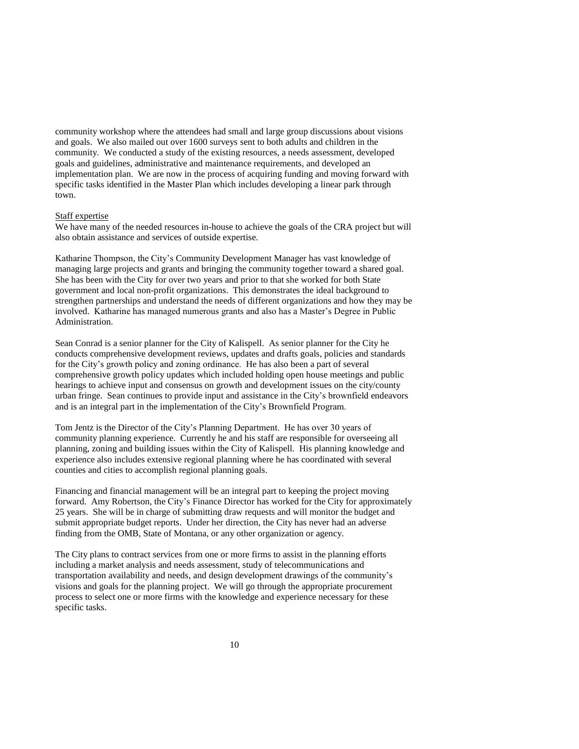community workshop where the attendees had small and large group discussions about visions and goals. We also mailed out over 1600 surveys sent to both adults and children in the community. We conducted a study of the existing resources, a needs assessment, developed goals and guidelines, administrative and maintenance requirements, and developed an implementation plan. We are now in the process of acquiring funding and moving forward with specific tasks identified in the Master Plan which includes developing a linear park through town.

### Staff expertise

We have many of the needed resources in-house to achieve the goals of the CRA project but will also obtain assistance and services of outside expertise.

Katharine Thompson, the City's Community Development Manager has vast knowledge of managing large projects and grants and bringing the community together toward a shared goal. She has been with the City for over two years and prior to that she worked for both State government and local non-profit organizations. This demonstrates the ideal background to strengthen partnerships and understand the needs of different organizations and how they may be involved. Katharine has managed numerous grants and also has a Master's Degree in Public Administration.

Sean Conrad is a senior planner for the City of Kalispell. As senior planner for the City he conducts comprehensive development reviews, updates and drafts goals, policies and standards for the City's growth policy and zoning ordinance. He has also been a part of several comprehensive growth policy updates which included holding open house meetings and public hearings to achieve input and consensus on growth and development issues on the city/county urban fringe. Sean continues to provide input and assistance in the City's brownfield endeavors and is an integral part in the implementation of the City's Brownfield Program.

Tom Jentz is the Director of the City's Planning Department. He has over 30 years of community planning experience. Currently he and his staff are responsible for overseeing all planning, zoning and building issues within the City of Kalispell. His planning knowledge and experience also includes extensive regional planning where he has coordinated with several counties and cities to accomplish regional planning goals.

Financing and financial management will be an integral part to keeping the project moving forward. Amy Robertson, the City's Finance Director has worked for the City for approximately 25 years. She will be in charge of submitting draw requests and will monitor the budget and submit appropriate budget reports. Under her direction, the City has never had an adverse finding from the OMB, State of Montana, or any other organization or agency.

The City plans to contract services from one or more firms to assist in the planning efforts including a market analysis and needs assessment, study of telecommunications and transportation availability and needs, and design development drawings of the community's visions and goals for the planning project. We will go through the appropriate procurement process to select one or more firms with the knowledge and experience necessary for these specific tasks.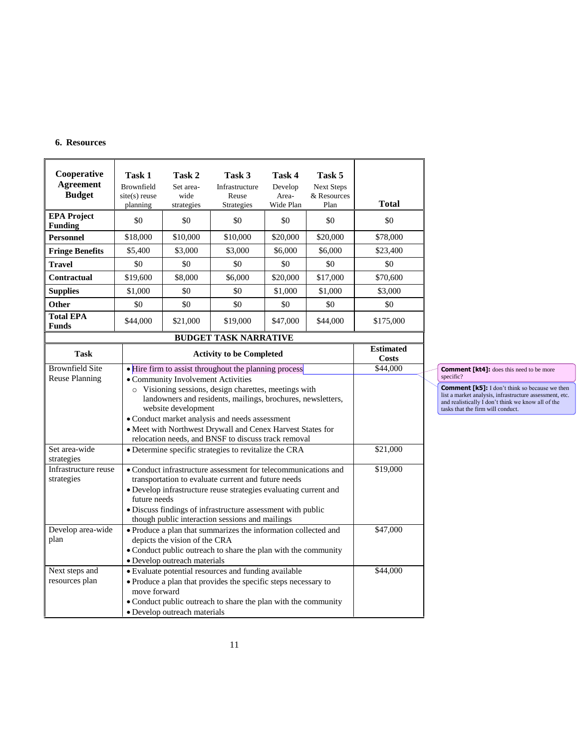# **6. Resources**

| Cooperative<br><b>Agreement</b><br><b>Budget</b> | Task 1<br>Brownfield<br>$site(s)$ reuse<br>planning | Task 2<br>Set area-<br>wide<br>strategies                                                                                                                                                                                                                                                                                                                                                                                     | Task 3<br>Infrastructure<br>Reuse<br><b>Strategies</b> | Task 4<br>Develop<br>Area-<br>Wide Plan | Task 5<br><b>Next Steps</b><br>& Resources<br>Plan | <b>Total</b> |  |
|--------------------------------------------------|-----------------------------------------------------|-------------------------------------------------------------------------------------------------------------------------------------------------------------------------------------------------------------------------------------------------------------------------------------------------------------------------------------------------------------------------------------------------------------------------------|--------------------------------------------------------|-----------------------------------------|----------------------------------------------------|--------------|--|
| <b>EPA Project</b><br><b>Funding</b>             | \$0                                                 | \$0                                                                                                                                                                                                                                                                                                                                                                                                                           | \$0                                                    | \$0                                     | \$0                                                | \$0          |  |
| <b>Personnel</b>                                 | \$18,000                                            | \$10,000                                                                                                                                                                                                                                                                                                                                                                                                                      | \$10,000                                               | \$20,000                                | \$20,000                                           | \$78,000     |  |
| <b>Fringe Benefits</b>                           | \$5.400                                             | \$3,000                                                                                                                                                                                                                                                                                                                                                                                                                       | \$3,000                                                | \$6,000                                 | \$6,000                                            | \$23,400     |  |
| <b>Travel</b>                                    | \$0                                                 | \$0                                                                                                                                                                                                                                                                                                                                                                                                                           | \$0                                                    | \$0                                     | \$0                                                | \$0          |  |
| Contractual                                      | \$19,600                                            | \$8,000                                                                                                                                                                                                                                                                                                                                                                                                                       | \$6,000                                                | \$20,000                                | \$17,000                                           | \$70,600     |  |
| <b>Supplies</b>                                  | \$1,000                                             | \$0                                                                                                                                                                                                                                                                                                                                                                                                                           | \$0                                                    | \$1,000                                 | \$1,000                                            | \$3,000      |  |
| Other                                            | \$0                                                 | \$0                                                                                                                                                                                                                                                                                                                                                                                                                           | \$0                                                    | \$0                                     | \$0                                                | \$0          |  |
| <b>Total EPA</b><br><b>Funds</b>                 | \$44,000                                            | \$21,000                                                                                                                                                                                                                                                                                                                                                                                                                      | \$19,000                                               | \$47,000                                | \$44,000                                           | \$175,000    |  |
|                                                  |                                                     |                                                                                                                                                                                                                                                                                                                                                                                                                               | <b>BUDGET TASK NARRATIVE</b>                           |                                         |                                                    |              |  |
| <b>Task</b>                                      |                                                     | <b>Activity to be Completed</b>                                                                                                                                                                                                                                                                                                                                                                                               | <b>Estimated</b><br><b>Costs</b>                       |                                         |                                                    |              |  |
| <b>Brownfield Site</b><br>Reuse Planning         |                                                     | \$44,000<br>• Hire firm to assist throughout the planning process<br>• Community Involvement Activities<br>o Visioning sessions, design charettes, meetings with<br>landowners and residents, mailings, brochures, newsletters,<br>website development<br>· Conduct market analysis and needs assessment<br>· Meet with Northwest Drywall and Cenex Harvest States for<br>relocation needs, and BNSF to discuss track removal |                                                        |                                         |                                                    |              |  |
| Set area-wide<br>strategies                      |                                                     | • Determine specific strategies to revitalize the CRA<br>\$21,000                                                                                                                                                                                                                                                                                                                                                             |                                                        |                                         |                                                    |              |  |
| Infrastructure reuse<br>strategies               |                                                     | \$19,000<br>• Conduct infrastructure assessment for telecommunications and<br>transportation to evaluate current and future needs<br>· Develop infrastructure reuse strategies evaluating current and<br>future needs<br>· Discuss findings of infrastructure assessment with public<br>though public interaction sessions and mailings                                                                                       |                                                        |                                         |                                                    |              |  |
| Develop area-wide<br>plan                        |                                                     | \$47,000<br>· Produce a plan that summarizes the information collected and<br>depicts the vision of the CRA<br>• Conduct public outreach to share the plan with the community<br>· Develop outreach materials                                                                                                                                                                                                                 |                                                        |                                         |                                                    |              |  |
| Next steps and<br>resources plan                 |                                                     | · Evaluate potential resources and funding available<br>· Produce a plan that provides the specific steps necessary to<br>move forward<br>• Conduct public outreach to share the plan with the community<br>· Develop outreach materials                                                                                                                                                                                      |                                                        |                                         |                                                    |              |  |

**Comment [kt4]:** does this need to be more

**Comment [k5]:** I don't think so because we then list a market analysis, infrastructure assessment, etc. and realistically I don't think we know all of the tasks that the firm will conduct.